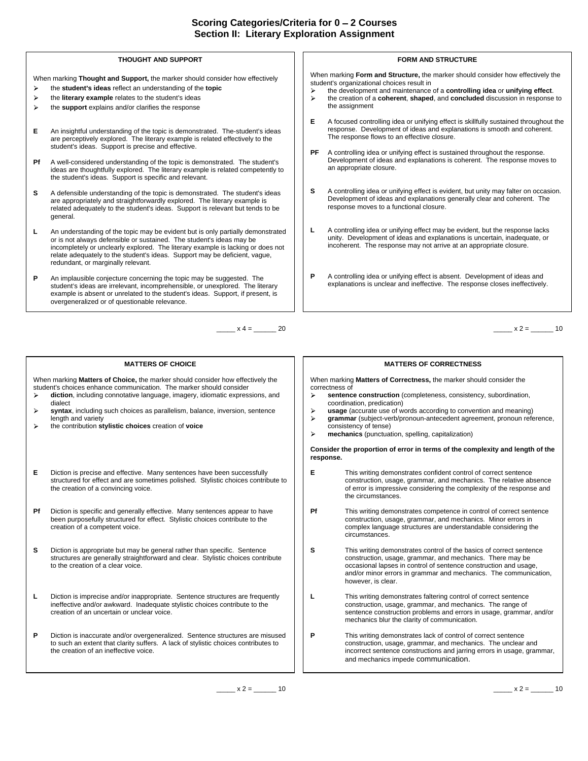### **THOUGHT AND SUPPORT**

When marking **Thought and Support,** the marker should consider how effectively  $\blacktriangleright$ 

- 
- $\triangleright$
- **E** An insightful understanding of the topic is demonstrated. The-student's ideas are perceptively explored. The literary example is related effectively to the student's ideas. Support is precise and effective.
- **Pf** A well-considered understanding of the topic is demonstrated. The student's Development of ideas a<br>ideas are thoughtfully explored. The literary example is related competently to an appropriate closure. ideas are thoughtfully explored. The literary example is related competently to the student's ideas. Support is specific and relevant.
- **S** A defensible understanding of the topic is demonstrated. The student's ideas  $\begin{bmatrix} 1 & 1 \end{bmatrix}$ are appropriately and straightforwardly explored. The literary example is related adequately to the student's ideas. Support is relevant but tends to be general.
- **L** An understanding of the topic may be evident but is only partially demonstrated  $\begin{vmatrix} 1 & 1 \end{vmatrix}$ or is not always defensible or sustained. The student's ideas may be incompletely or unclearly explored. The literary example is lacking or does not relate adequately to the student's ideas. Support may be deficient, vague, redundant, or marginally relevant.
- P An implausible conjecture concerning the topic may be suggested. The the subsectional of the A controlling idea or unifying effect is absent. Development of ideas and<br>student's ideas are irrelevant, incomprehensible, or example is absent or unrelated to the student's ideas. Support, if present, is overgeneralized or of questionable relevance.

When marking **Matters of Choice,** the marker should consider how effectively the student's choices enhance communication. The marker should consider **the constant of the constant of the marker diction**, including connotative language, imagery, idiomatic expressions, and

- **syntax**, including such choices as parallelism, balance, inversion, sentence<br>length and variety
- the contribution **stylistic choices** creation of **voice**
- **E** Diction is precise and effective. Many sentences have been successfully **E** structured for effect and are sometimes polished. Stylistic choices contribute to the creation of a convincing voice.
- **Pf** Diction is specific and generally effective. Many sentences appear to have **Pf** been purposefully structured for effect. Stylistic choices contribute to the
- **S** Diction is appropriate but may be general rather than specific. Sentence **S** structures are generally straightforward and clear. Stylistic choices contribute to the creation of a clear voice.
- **L** Diction is imprecise and/or inappropriate. Sentence structures are frequently  $\vert \vert$  **L** This writing demonstrates faltering control of correct sentence
- **P** Diction is inaccurate and/or overgeneralized. Sentence structures are misused  $\begin{vmatrix} \cdot & \cdot & \cdot \\ \cdot & \cdot & \cdot \\ \cdot & \cdot & \cdot \end{vmatrix}$ to such an extent that clarity suffers. A lack of stylistic choices contributes to

## **FORM AND STRUCTURE**

When marking **Form and Structure,** the marker should consider how effectively the student's organizational choices result in

- the student's ideas reflect an understanding of the topic **the example of the example of a controlling idea** or unifying effect. the literary example relates to the student's ideas **the state of the state of the creation** of a coherent, shaped, and concluded discussion in response to
- the **support** explains and/or clarifies the response **the contract of the assignment** the assignment the assignment **that is a structure of the assignment** of the structure of the structure of the structure of the structure of the structure of the structure of the structure of the structure of the structure of the structu
	- **E** A focused controlling idea or unifying effect is skillfully sustained throughout the response. Development of ideas and explanations is smooth and coherent. The response flows to an effective closure.
	- A controlling idea or unifying effect is sustained throughout the response. Development of ideas and explanations is coherent. The response moves to an appropriate closure.
	- **S** A controlling idea or unifying effect is evident, but unity may falter on occasion. Development of ideas and explanations generally clear and coherent. The response moves to a functional closure.
	- **L** A controlling idea or unifying effect may be evident, but the response lacks unity. Development of ideas and explanations is uncertain, inadequate, or incoherent. The response may not arrive at an appropriate closure.
	- **P** A controlling idea or unifying effect is absent. Development of ideas and

 $x^2 = 20$  x 4 = 20

#### **MATTERS OF CHOICE MATTERS OF CORRECTNESS**

When marking **Matters of Correctness,** the marker should consider the correctness of the control of the control of the control of the control of the control of the control of the control of the control of the control of the control of the control of the control of the control of the control

- coordination, predication) **sentence construction** (completeness, consistency, subordination, coordination, predication)
- length and variety **the state of the subject-verbind of the state of the state of the state of the state of the state of the state of the state of the state of the state of the state of the state of the state of the state usage** (accurate use of words according to convention and meaning)
	- consistency of tense) **mechanics** (punctuation, spelling, capitalization)

**Consider the proportion of error in terms of the complexity and length of the response.**

- the creation of a convincing voice. The creation of a convincing voice. The complexity of the response and the response and the response and the response and the response and the response and the response and the response **E** This writing demonstrates confident control of correct sentence construction, usage, grammar, and mechanics. The relative absence the circumstances.
- creation of a competent voice. complex language structures are understandable considering the This writing demonstrates competence in control of correct sentence construction, usage, grammar, and mechanics. Minor errors in circumstances. **Example 20** in the contract of the contract of the contract of the contract of the contract of the contract of the contract of the contract of the contract of the contract of the contract of the contract of
- to the creation of a clear voice. occasional lapses in control of sentence construction and usage, This writing demonstrates control of the basics of correct sentence construction, usage, grammar, and mechanics. There may be and/or minor errors in grammar and mechanics. The communication, however, is clear. The contract of the contract of the contract of the contract of the contract of the contract of the contract of the contract of the contract of the contract of the contract of the contract of the contrac
- ineffective and/or awkward. Inadequate stylistic choices contribute to the **the construction**, usage, grammar, and mechanics. The range of creation of an uncertain or unclear voice. sentence construction problems and errors in usage, grammar, and/or **L** This writing demonstrates faltering control of correct sentence construction, usage, grammar, and mechanics. The range of mechanics blur the clarity of communication.
- the creation of an ineffective voice. **incorrect sentence constructions** and jarring errors in usage, grammar, and incorrect sentence constructions and jarring errors in usage, grammar, and This writing demonstrates lack of control of correct sentence construction, usage, grammar, and mechanics. The unclear and and mechanics impede communication.